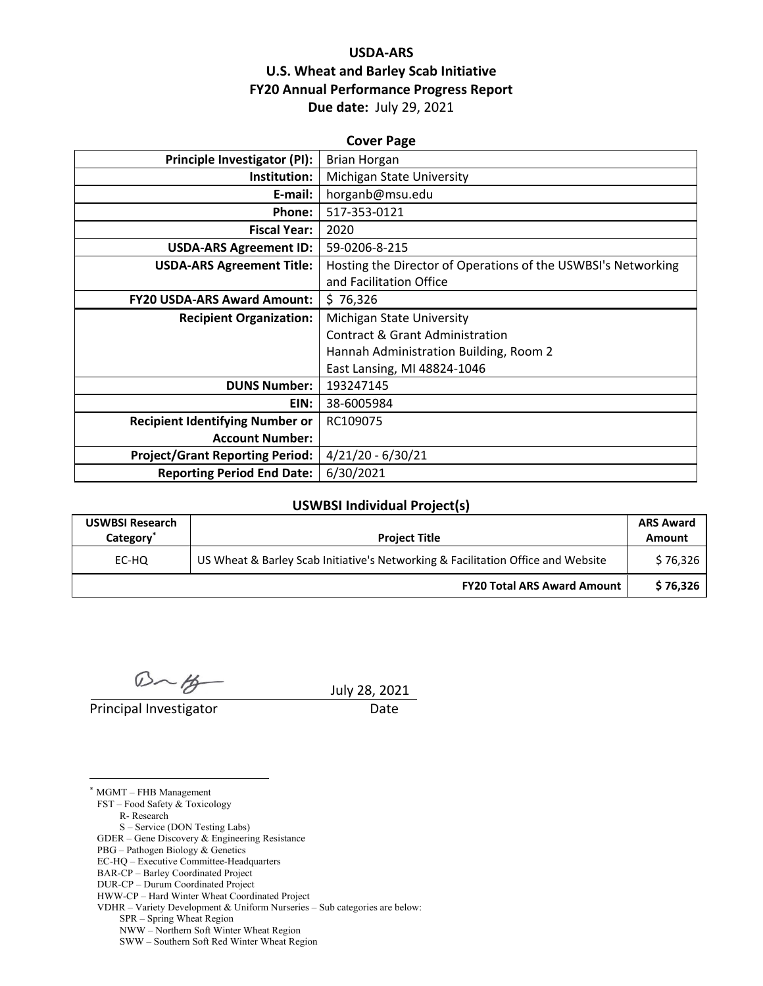# **USDA‐ARS U.S. Wheat and Barley Scab Initiative FY20 Annual Performance Progress Report Due date:** July 29, 2021

| <b>Cover Page</b>                      |                                                               |  |  |  |
|----------------------------------------|---------------------------------------------------------------|--|--|--|
| <b>Principle Investigator (PI):</b>    | <b>Brian Horgan</b>                                           |  |  |  |
| Institution:                           | Michigan State University                                     |  |  |  |
| E-mail:                                | horganb@msu.edu                                               |  |  |  |
| Phone:                                 | 517-353-0121                                                  |  |  |  |
| <b>Fiscal Year:</b>                    | 2020                                                          |  |  |  |
| <b>USDA-ARS Agreement ID:</b>          | 59-0206-8-215                                                 |  |  |  |
| <b>USDA-ARS Agreement Title:</b>       | Hosting the Director of Operations of the USWBSI's Networking |  |  |  |
|                                        | and Facilitation Office                                       |  |  |  |
| <b>FY20 USDA-ARS Award Amount:</b>     | \$76,326                                                      |  |  |  |
| <b>Recipient Organization:</b>         | Michigan State University                                     |  |  |  |
|                                        | Contract & Grant Administration                               |  |  |  |
|                                        | Hannah Administration Building, Room 2                        |  |  |  |
|                                        | East Lansing, MI 48824-1046                                   |  |  |  |
| <b>DUNS Number:</b>                    | 193247145                                                     |  |  |  |
| EIN:                                   | 38-6005984                                                    |  |  |  |
| <b>Recipient Identifying Number or</b> | RC109075                                                      |  |  |  |
| <b>Account Number:</b>                 |                                                               |  |  |  |
| <b>Project/Grant Reporting Period:</b> | $4/21/20 - 6/30/21$                                           |  |  |  |
| <b>Reporting Period End Date:</b>      | 6/30/2021                                                     |  |  |  |

#### **USWBSI Individual Project(s)**

| <b>USWBSI Research</b><br>Category <sup>'</sup> | <b>Project Title</b>                                                             | <b>ARS Award</b><br>Amount |
|-------------------------------------------------|----------------------------------------------------------------------------------|----------------------------|
| EC-HQ                                           | US Wheat & Barley Scab Initiative's Networking & Facilitation Office and Website | \$76,326                   |
|                                                 | <b>FY20 Total ARS Award Amount</b>                                               | \$76,326                   |

 $D - B$  July 28, 2021

Principal Investigator Date

 $\overline{a}$ \* MGMT – FHB Management FST – Food Safety & Toxicology R- Research S – Service (DON Testing Labs) GDER – Gene Discovery & Engineering Resistance PBG – Pathogen Biology & Genetics EC-HQ – Executive Committee-Headquarters BAR-CP – Barley Coordinated Project DUR-CP – Durum Coordinated Project HWW-CP – Hard Winter Wheat Coordinated Project VDHR – Variety Development & Uniform Nurseries – Sub categories are below: SPR – Spring Wheat Region NWW – Northern Soft Winter Wheat Region

SWW – Southern Soft Red Winter Wheat Region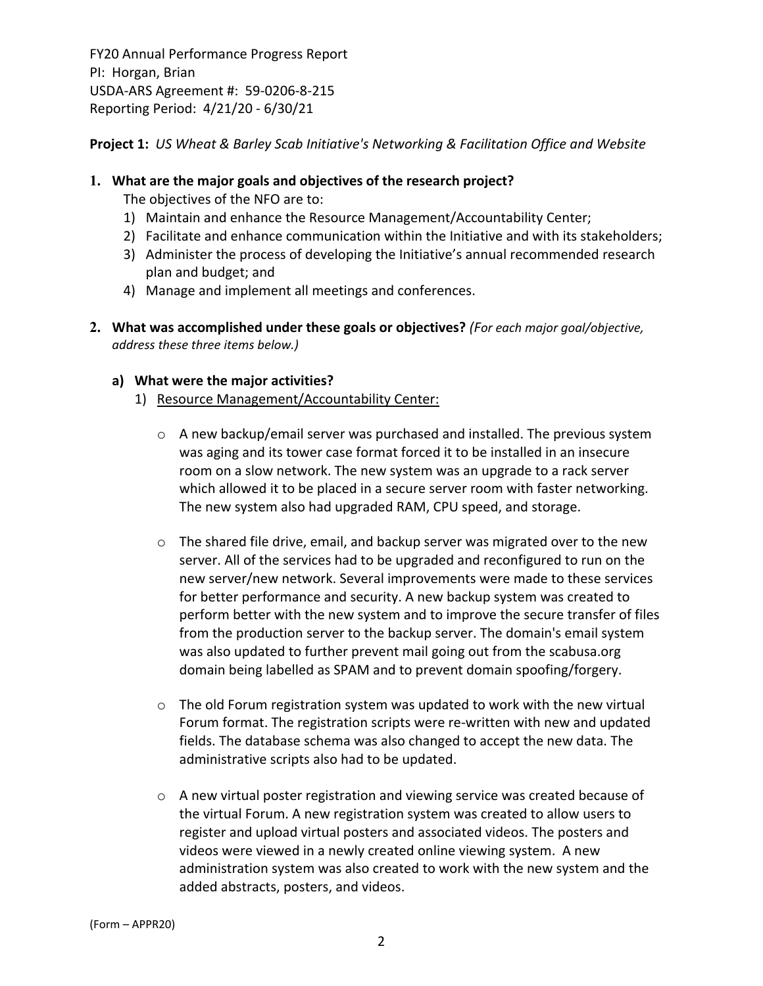**Project 1:** *US Wheat & Barley Scab Initiative's Networking & Facilitation Office and Website*

#### **1. What are the major goals and objectives of the research project?**

- The objectives of the NFO are to:
- 1) Maintain and enhance the Resource Management/Accountability Center;
- 2) Facilitate and enhance communication within the Initiative and with its stakeholders;
- 3) Administer the process of developing the Initiative's annual recommended research plan and budget; and
- 4) Manage and implement all meetings and conferences.
- **2. What was accomplished under these goals or objectives?** *(For each major goal/objective, address these three items below.)*

## **a) What were the major activities?**

- 1) Resource Management/Accountability Center:
	- o A new backup/email server was purchased and installed. The previous system was aging and its tower case format forced it to be installed in an insecure room on a slow network. The new system was an upgrade to a rack server which allowed it to be placed in a secure server room with faster networking. The new system also had upgraded RAM, CPU speed, and storage.
	- $\circ$  The shared file drive, email, and backup server was migrated over to the new server. All of the services had to be upgraded and reconfigured to run on the new server/new network. Several improvements were made to these services for better performance and security. A new backup system was created to perform better with the new system and to improve the secure transfer of files from the production server to the backup server. The domain's email system was also updated to further prevent mail going out from the scabusa.org domain being labelled as SPAM and to prevent domain spoofing/forgery.
	- o The old Forum registration system was updated to work with the new virtual Forum format. The registration scripts were re‐written with new and updated fields. The database schema was also changed to accept the new data. The administrative scripts also had to be updated.
	- $\circ$  A new virtual poster registration and viewing service was created because of the virtual Forum. A new registration system was created to allow users to register and upload virtual posters and associated videos. The posters and videos were viewed in a newly created online viewing system. A new administration system was also created to work with the new system and the added abstracts, posters, and videos.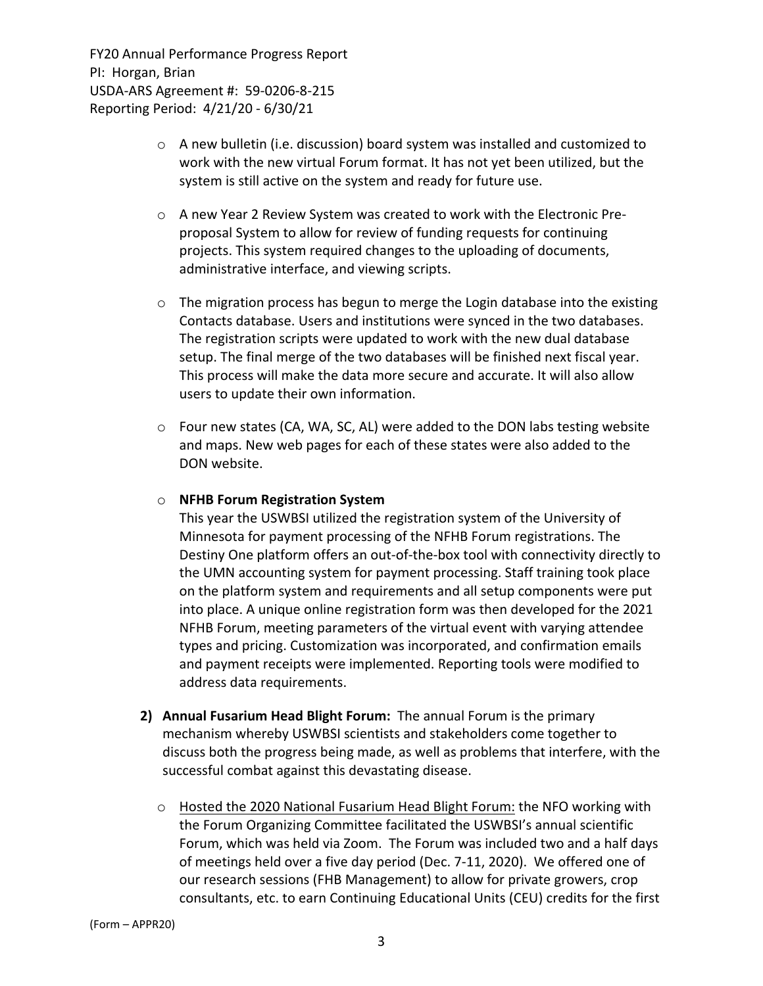- $\circ$  A new bulletin (i.e. discussion) board system was installed and customized to work with the new virtual Forum format. It has not yet been utilized, but the system is still active on the system and ready for future use.
- o A new Year 2 Review System was created to work with the Electronic Pre‐ proposal System to allow for review of funding requests for continuing projects. This system required changes to the uploading of documents, administrative interface, and viewing scripts.
- o The migration process has begun to merge the Login database into the existing Contacts database. Users and institutions were synced in the two databases. The registration scripts were updated to work with the new dual database setup. The final merge of the two databases will be finished next fiscal year. This process will make the data more secure and accurate. It will also allow users to update their own information.
- $\circ$  Four new states (CA, WA, SC, AL) were added to the DON labs testing website and maps. New web pages for each of these states were also added to the DON website.

#### o **NFHB Forum Registration System**

This year the USWBSI utilized the registration system of the University of Minnesota for payment processing of the NFHB Forum registrations. The Destiny One platform offers an out-of-the-box tool with connectivity directly to the UMN accounting system for payment processing. Staff training took place on the platform system and requirements and all setup components were put into place. A unique online registration form was then developed for the 2021 NFHB Forum, meeting parameters of the virtual event with varying attendee types and pricing. Customization was incorporated, and confirmation emails and payment receipts were implemented. Reporting tools were modified to address data requirements.

- **2) Annual Fusarium Head Blight Forum:** The annual Forum is the primary mechanism whereby USWBSI scientists and stakeholders come together to discuss both the progress being made, as well as problems that interfere, with the successful combat against this devastating disease.
	- $\circ$  Hosted the 2020 National Fusarium Head Blight Forum: the NFO working with the Forum Organizing Committee facilitated the USWBSI's annual scientific Forum, which was held via Zoom. The Forum was included two and a half days of meetings held over a five day period (Dec. 7‐11, 2020). We offered one of our research sessions (FHB Management) to allow for private growers, crop consultants, etc. to earn Continuing Educational Units (CEU) credits for the first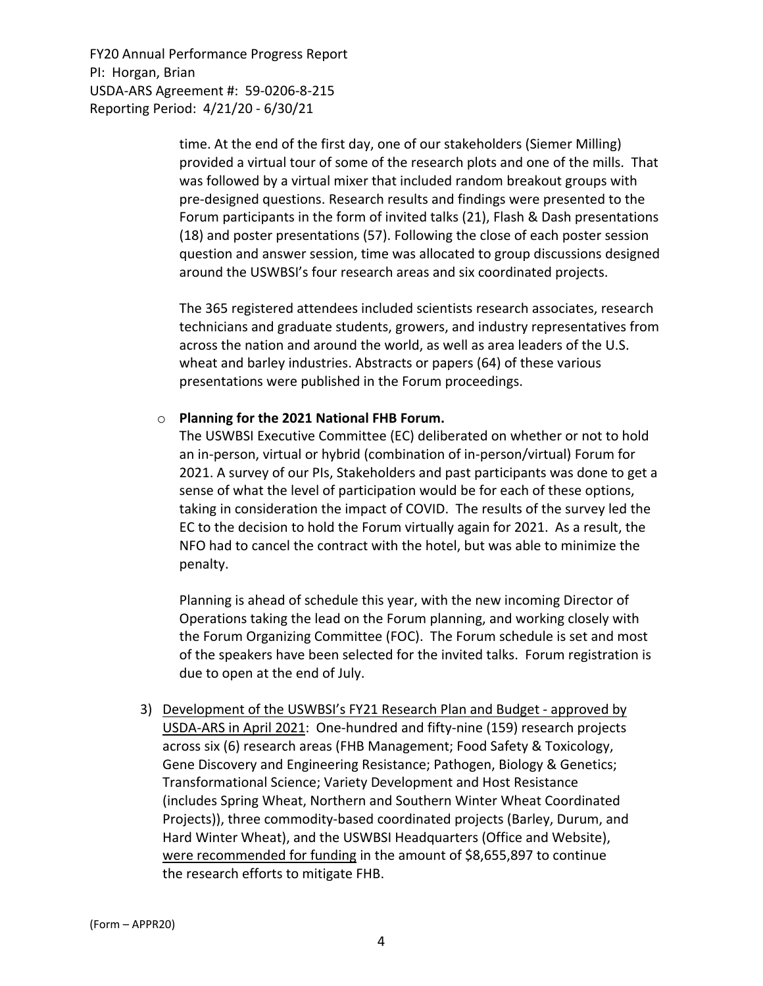> time. At the end of the first day, one of our stakeholders (Siemer Milling) provided a virtual tour of some of the research plots and one of the mills. That was followed by a virtual mixer that included random breakout groups with pre‐designed questions. Research results and findings were presented to the Forum participants in the form of invited talks (21), Flash & Dash presentations (18) and poster presentations (57). Following the close of each poster session question and answer session, time was allocated to group discussions designed around the USWBSI's four research areas and six coordinated projects.

> The 365 registered attendees included scientists research associates, research technicians and graduate students, growers, and industry representatives from across the nation and around the world, as well as area leaders of the U.S. wheat and barley industries. Abstracts or papers (64) of these various presentations were published in the Forum proceedings.

#### o **Planning for the 2021 National FHB Forum.**

The USWBSI Executive Committee (EC) deliberated on whether or not to hold an in‐person, virtual or hybrid (combination of in‐person/virtual) Forum for 2021. A survey of our PIs, Stakeholders and past participants was done to get a sense of what the level of participation would be for each of these options, taking in consideration the impact of COVID. The results of the survey led the EC to the decision to hold the Forum virtually again for 2021. As a result, the NFO had to cancel the contract with the hotel, but was able to minimize the penalty.

Planning is ahead of schedule this year, with the new incoming Director of Operations taking the lead on the Forum planning, and working closely with the Forum Organizing Committee (FOC). The Forum schedule is set and most of the speakers have been selected for the invited talks. Forum registration is due to open at the end of July.

3) Development of the USWBSI's FY21 Research Plan and Budget ‐ approved by USDA‐ARS in April 2021: One‐hundred and fifty‐nine (159) research projects across six (6) research areas (FHB Management; Food Safety & Toxicology, Gene Discovery and Engineering Resistance; Pathogen, Biology & Genetics; Transformational Science; Variety Development and Host Resistance (includes Spring Wheat, Northern and Southern Winter Wheat Coordinated Projects)), three commodity‐based coordinated projects (Barley, Durum, and Hard Winter Wheat), and the USWBSI Headquarters (Office and Website), were recommended for funding in the amount of \$8,655,897 to continue the research efforts to mitigate FHB.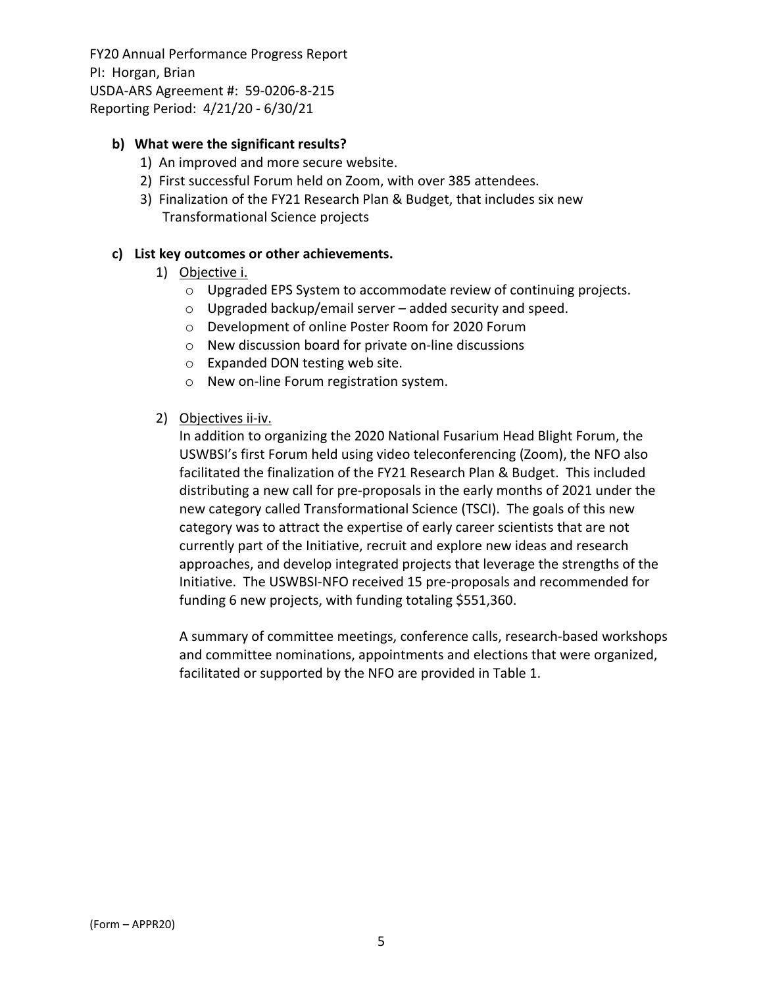## **b) What were the significant results?**

- 1) An improved and more secure website.
- 2) First successful Forum held on Zoom, with over 385 attendees.
- 3) Finalization of the FY21 Research Plan & Budget, that includes six new Transformational Science projects

#### **c) List key outcomes or other achievements.**

- 1) Objective i.
	- o Upgraded EPS System to accommodate review of continuing projects.
	- $\circ$  Upgraded backup/email server added security and speed.
	- o Development of online Poster Room for 2020 Forum
	- o New discussion board for private on‐line discussions
	- o Expanded DON testing web site.
	- o New on‐line Forum registration system.
- 2) Objectives ii‐iv.

In addition to organizing the 2020 National Fusarium Head Blight Forum, the USWBSI's first Forum held using video teleconferencing (Zoom), the NFO also facilitated the finalization of the FY21 Research Plan & Budget. This included distributing a new call for pre‐proposals in the early months of 2021 under the new category called Transformational Science (TSCI). The goals of this new category was to attract the expertise of early career scientists that are not currently part of the Initiative, recruit and explore new ideas and research approaches, and develop integrated projects that leverage the strengths of the Initiative. The USWBSI‐NFO received 15 pre‐proposals and recommended for funding 6 new projects, with funding totaling \$551,360.

A summary of committee meetings, conference calls, research‐based workshops and committee nominations, appointments and elections that were organized, facilitated or supported by the NFO are provided in Table 1.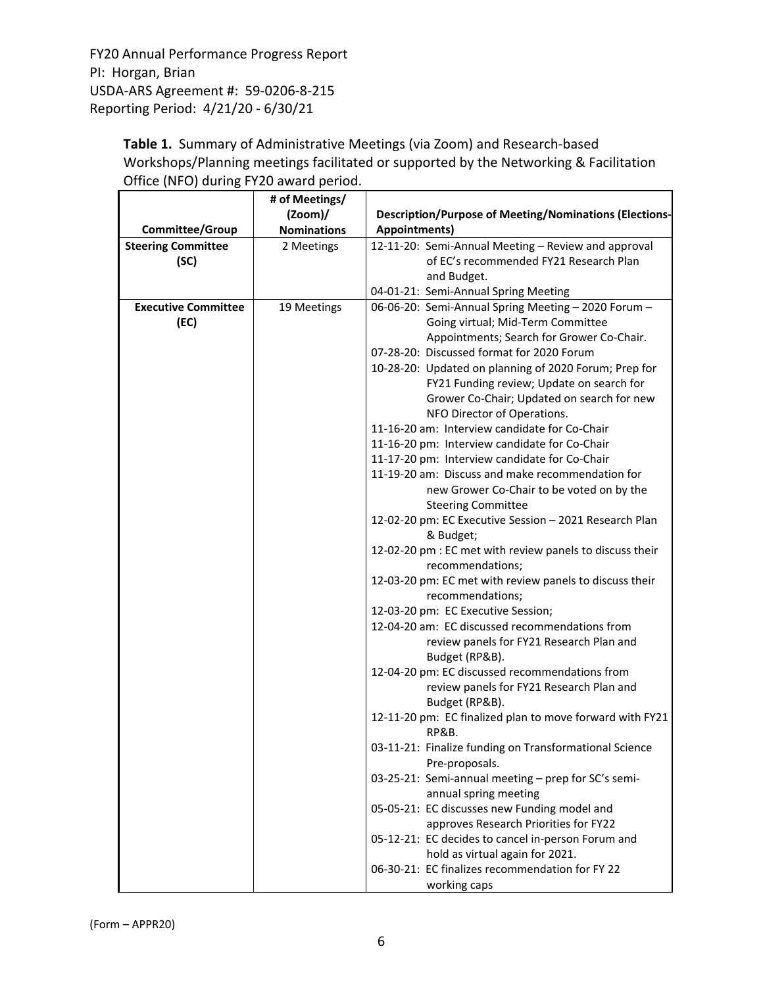> Table 1. Summary of Administrative Meetings (via Zoom) and Research-based Workshops/Planning meetings facilitated or supported by the Networking & Facilitation Office (NFO) during FY20 award period.

|                            | # of Meetings/     |                                                                                                   |  |  |  |
|----------------------------|--------------------|---------------------------------------------------------------------------------------------------|--|--|--|
|                            | $(2oom)$ /         | <b>Description/Purpose of Meeting/Nominations (Elections-</b>                                     |  |  |  |
| Committee/Group            | <b>Nominations</b> | Appointments)                                                                                     |  |  |  |
| <b>Steering Committee</b>  | 2 Meetings         | 12-11-20: Semi-Annual Meeting - Review and approval                                               |  |  |  |
| (SC)                       |                    | of EC's recommended FY21 Research Plan                                                            |  |  |  |
|                            |                    | and Budget.                                                                                       |  |  |  |
|                            |                    | 04-01-21: Semi-Annual Spring Meeting                                                              |  |  |  |
| <b>Executive Committee</b> | 19 Meetings        | 06-06-20: Semi-Annual Spring Meeting - 2020 Forum -                                               |  |  |  |
| (EC)                       |                    | Going virtual; Mid-Term Committee                                                                 |  |  |  |
|                            |                    | Appointments; Search for Grower Co-Chair.                                                         |  |  |  |
|                            |                    | 07-28-20: Discussed format for 2020 Forum                                                         |  |  |  |
|                            |                    | 10-28-20: Updated on planning of 2020 Forum; Prep for                                             |  |  |  |
|                            |                    | FY21 Funding review; Update on search for                                                         |  |  |  |
|                            |                    | Grower Co-Chair; Updated on search for new                                                        |  |  |  |
|                            |                    | NFO Director of Operations.                                                                       |  |  |  |
|                            |                    | 11-16-20 am: Interview candidate for Co-Chair                                                     |  |  |  |
|                            |                    | 11-16-20 pm: Interview candidate for Co-Chair                                                     |  |  |  |
|                            |                    | 11-17-20 pm: Interview candidate for Co-Chair<br>11-19-20 am: Discuss and make recommendation for |  |  |  |
|                            |                    | new Grower Co-Chair to be voted on by the                                                         |  |  |  |
|                            |                    | <b>Steering Committee</b>                                                                         |  |  |  |
|                            |                    | 12-02-20 pm: EC Executive Session - 2021 Research Plan                                            |  |  |  |
|                            |                    | & Budget;                                                                                         |  |  |  |
|                            |                    | 12-02-20 pm : EC met with review panels to discuss their<br>recommendations;                      |  |  |  |
|                            |                    | 12-03-20 pm: EC met with review panels to discuss their                                           |  |  |  |
|                            |                    | recommendations;                                                                                  |  |  |  |
|                            |                    | 12-03-20 pm: EC Executive Session;                                                                |  |  |  |
|                            |                    | 12-04-20 am: EC discussed recommendations from                                                    |  |  |  |
|                            |                    | review panels for FY21 Research Plan and<br>Budget (RP&B).                                        |  |  |  |
|                            |                    | 12-04-20 pm: EC discussed recommendations from                                                    |  |  |  |
|                            |                    | review panels for FY21 Research Plan and                                                          |  |  |  |
|                            |                    | Budget (RP&B).                                                                                    |  |  |  |
|                            |                    | 12-11-20 pm: EC finalized plan to move forward with FY21<br>RP&B.                                 |  |  |  |
|                            |                    | 03-11-21: Finalize funding on Transformational Science<br>Pre-proposals.                          |  |  |  |
|                            |                    | 03-25-21: Semi-annual meeting - prep for SC's semi-<br>annual spring meeting                      |  |  |  |
|                            |                    | 05-05-21: EC discusses new Funding model and                                                      |  |  |  |
|                            |                    | approves Research Priorities for FY22                                                             |  |  |  |
|                            |                    | 05-12-21: EC decides to cancel in-person Forum and                                                |  |  |  |
|                            |                    | hold as virtual again for 2021.                                                                   |  |  |  |
|                            |                    | 06-30-21: EC finalizes recommendation for FY 22                                                   |  |  |  |
|                            |                    | working caps                                                                                      |  |  |  |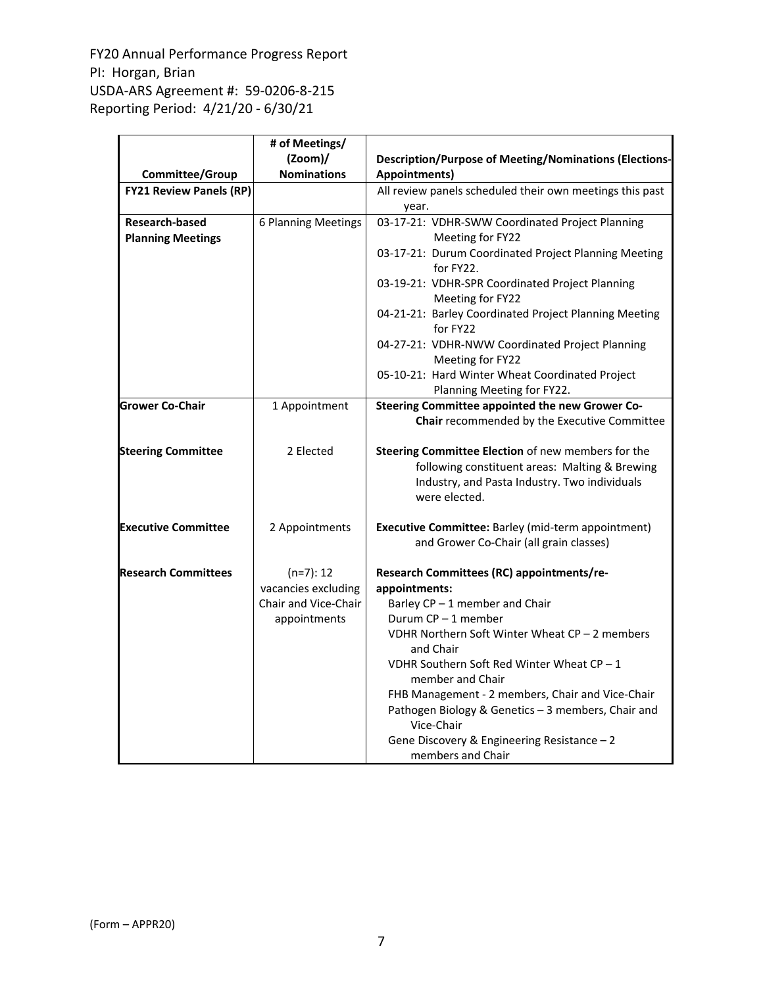|                                                   | # of Meetings/              |                                                                                                                                                                        |  |  |  |
|---------------------------------------------------|-----------------------------|------------------------------------------------------------------------------------------------------------------------------------------------------------------------|--|--|--|
|                                                   | $(2oom)$ /                  | <b>Description/Purpose of Meeting/Nominations (Elections-</b>                                                                                                          |  |  |  |
| Committee/Group                                   | <b>Nominations</b>          | Appointments)                                                                                                                                                          |  |  |  |
| <b>FY21 Review Panels (RP)</b>                    |                             | All review panels scheduled their own meetings this past<br>year.                                                                                                      |  |  |  |
| <b>Research-based</b><br><b>Planning Meetings</b> | 6 Planning Meetings         | 03-17-21: VDHR-SWW Coordinated Project Planning<br>Meeting for FY22                                                                                                    |  |  |  |
|                                                   |                             | 03-17-21: Durum Coordinated Project Planning Meeting<br>for FY22.                                                                                                      |  |  |  |
|                                                   |                             | 03-19-21: VDHR-SPR Coordinated Project Planning<br>Meeting for FY22                                                                                                    |  |  |  |
|                                                   |                             | 04-21-21: Barley Coordinated Project Planning Meeting<br>for FY22                                                                                                      |  |  |  |
|                                                   |                             | 04-27-21: VDHR-NWW Coordinated Project Planning<br>Meeting for FY22                                                                                                    |  |  |  |
|                                                   |                             | 05-10-21: Hard Winter Wheat Coordinated Project<br>Planning Meeting for FY22.                                                                                          |  |  |  |
| <b>Grower Co-Chair</b>                            | 1 Appointment               | Steering Committee appointed the new Grower Co-<br>Chair recommended by the Executive Committee                                                                        |  |  |  |
| <b>Steering Committee</b>                         | 2 Elected                   | Steering Committee Election of new members for the<br>following constituent areas: Malting & Brewing<br>Industry, and Pasta Industry. Two individuals<br>were elected. |  |  |  |
| <b>Executive Committee</b>                        | 2 Appointments              | Executive Committee: Barley (mid-term appointment)<br>and Grower Co-Chair (all grain classes)                                                                          |  |  |  |
| <b>Research Committees</b>                        | $(n=7): 12$                 | Research Committees (RC) appointments/re-                                                                                                                              |  |  |  |
|                                                   | vacancies excluding         | appointments:                                                                                                                                                          |  |  |  |
|                                                   | <b>Chair and Vice-Chair</b> | Barley CP-1 member and Chair                                                                                                                                           |  |  |  |
|                                                   | appointments                | Durum $CP - 1$ member                                                                                                                                                  |  |  |  |
|                                                   |                             | VDHR Northern Soft Winter Wheat CP - 2 members<br>and Chair                                                                                                            |  |  |  |
|                                                   |                             | VDHR Southern Soft Red Winter Wheat $CP - 1$<br>member and Chair                                                                                                       |  |  |  |
|                                                   |                             | FHB Management - 2 members, Chair and Vice-Chair<br>Pathogen Biology & Genetics - 3 members, Chair and<br>Vice-Chair                                                   |  |  |  |
|                                                   |                             | Gene Discovery & Engineering Resistance - 2<br>members and Chair                                                                                                       |  |  |  |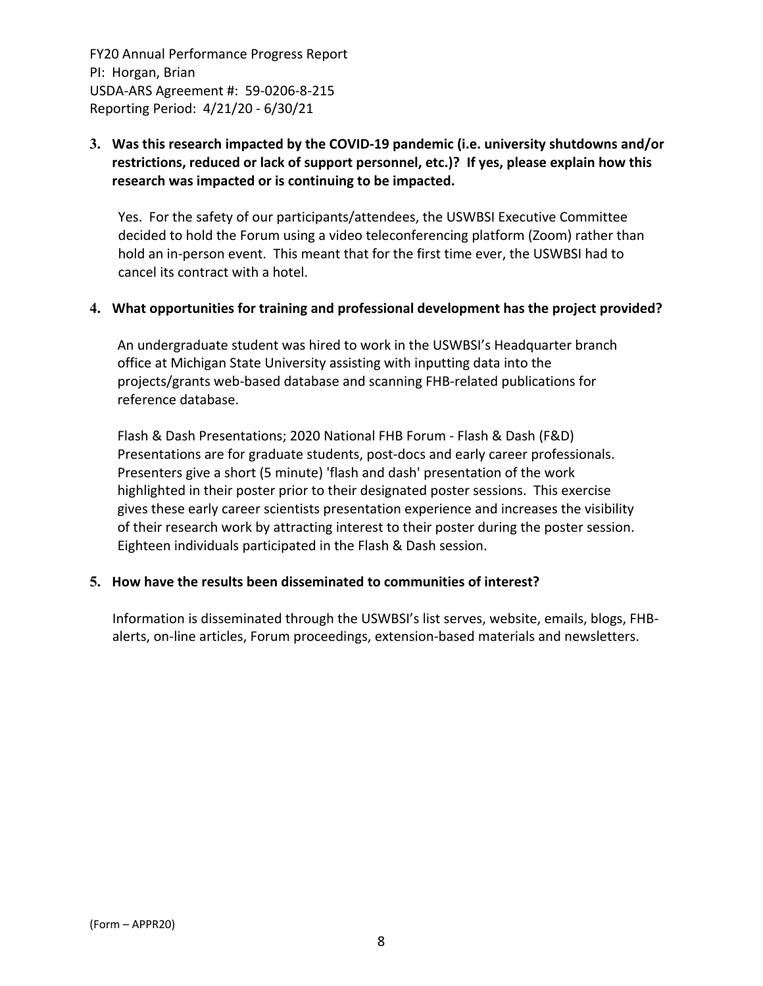# **3. Was this research impacted by the COVID‐19 pandemic (i.e. university shutdowns and/or restrictions, reduced or lack of support personnel, etc.)? If yes, please explain how this research was impacted or is continuing to be impacted.**

Yes. For the safety of our participants/attendees, the USWBSI Executive Committee decided to hold the Forum using a video teleconferencing platform (Zoom) rather than hold an in‐person event. This meant that for the first time ever, the USWBSI had to cancel its contract with a hotel.

## **4. What opportunities for training and professional development has the project provided?**

An undergraduate student was hired to work in the USWBSI's Headquarter branch office at Michigan State University assisting with inputting data into the projects/grants web‐based database and scanning FHB‐related publications for reference database.

Flash & Dash Presentations; 2020 National FHB Forum ‐ Flash & Dash (F&D) Presentations are for graduate students, post‐docs and early career professionals. Presenters give a short (5 minute) 'flash and dash' presentation of the work highlighted in their poster prior to their designated poster sessions. This exercise gives these early career scientists presentation experience and increases the visibility of their research work by attracting interest to their poster during the poster session. Eighteen individuals participated in the Flash & Dash session.

#### **5. How have the results been disseminated to communities of interest?**

Information is disseminated through the USWBSI's list serves, website, emails, blogs, FHB‐ alerts, on‐line articles, Forum proceedings, extension‐based materials and newsletters.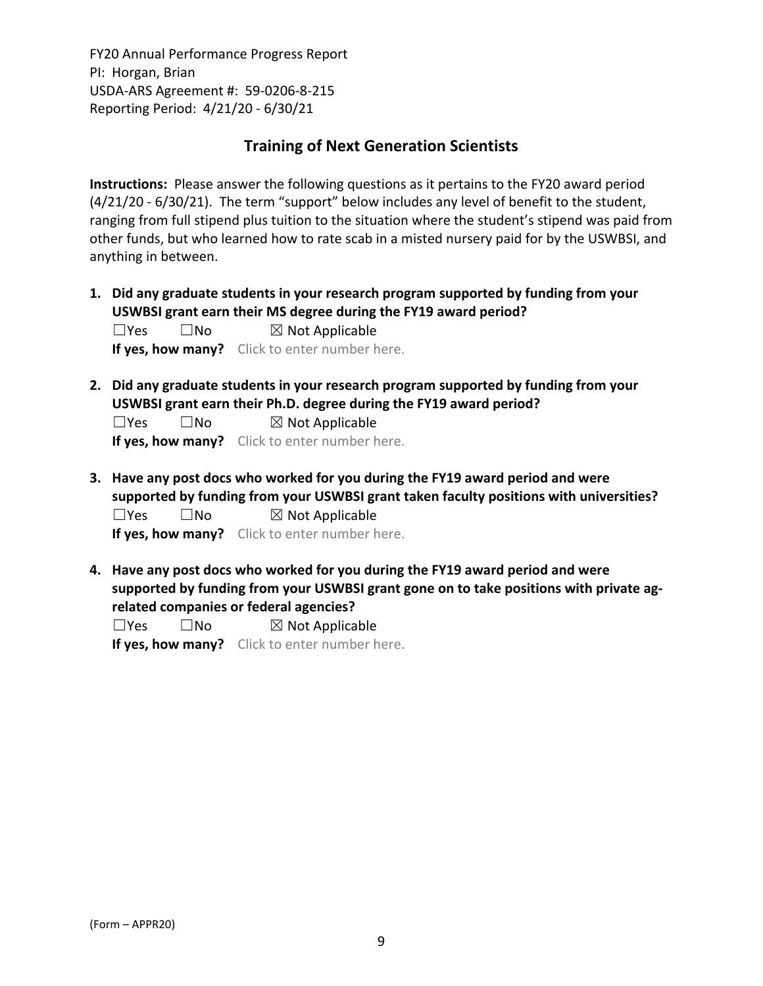# **Training of Next Generation Scientists**

**Instructions:** Please answer the following questions as it pertains to the FY20 award period (4/21/20 ‐ 6/30/21). The term "support" below includes any level of benefit to the student, ranging from full stipend plus tuition to the situation where the student's stipend was paid from other funds, but who learned how to rate scab in a misted nursery paid for by the USWBSI, and anything in between.

**1. Did any graduate students in your research program supported by funding from your USWBSI grant earn their MS degree during the FY19 award period?**  $\square$ Yes  $\square$ No  $\square$  Not Applicable

**If yes, how many?** Click to enter number here.

**2. Did any graduate students in your research program supported by funding from your USWBSI grant earn their Ph.D. degree during the FY19 award period?**

 $\square$ Yes  $\square$ No  $\square$  Not Applicable

**If yes, how many?** Click to enter number here.

**3. Have any post docs who worked for you during the FY19 award period and were supported by funding from your USWBSI grant taken faculty positions with universities?**  $\square$ Yes  $\square$ No  $\square$  Not Applicable

**If yes, how many?** Click to enter number here.

**4. Have any post docs who worked for you during the FY19 award period and were supported by funding from your USWBSI grant gone on to take positions with private ag‐ related companies or federal agencies?**

 $\square$ Yes  $\square$ No  $\square$  Not Applicable **If yes, how many?** Click to enter number here.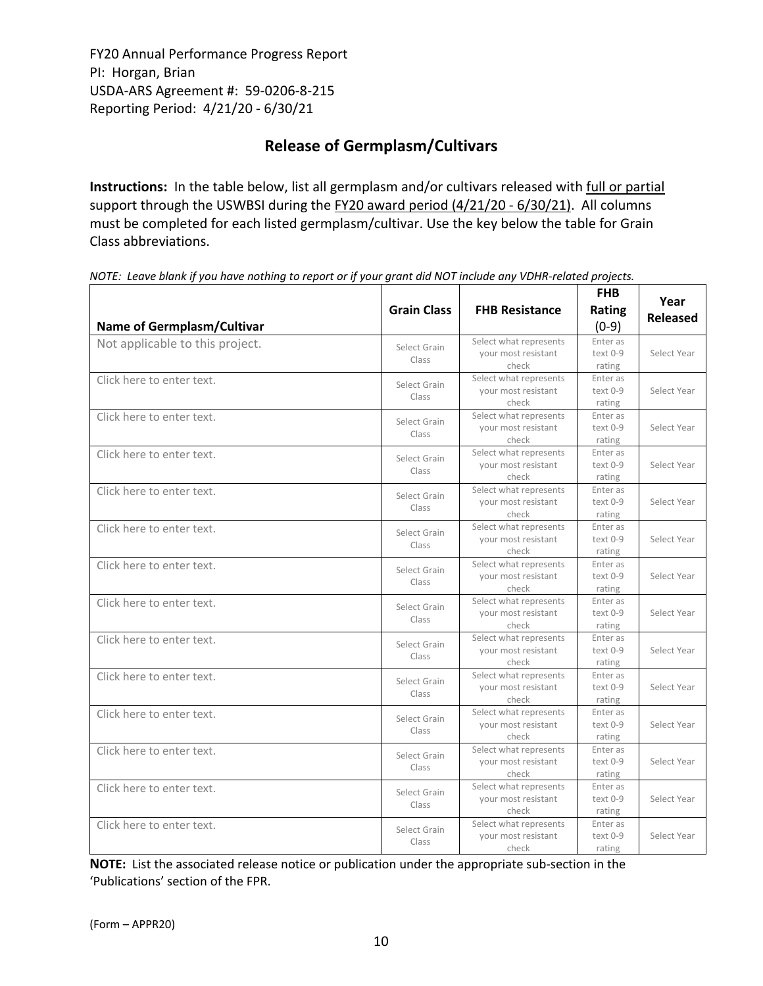# **Release of Germplasm/Cultivars**

**Instructions:** In the table below, list all germplasm and/or cultivars released with full or partial support through the USWBSI during the FY20 award period (4/21/20 - 6/30/21). All columns must be completed for each listed germplasm/cultivar. Use the key below the table for Grain Class abbreviations. 

| <b>Name of Germplasm/Cultivar</b> | <b>Grain Class</b>    | <b>FHB Resistance</b>                                  | <b>FHB</b><br>Rating<br>$(0-9)$  | Year<br><b>Released</b> |
|-----------------------------------|-----------------------|--------------------------------------------------------|----------------------------------|-------------------------|
| Not applicable to this project.   | Select Grain<br>Class | Select what represents<br>your most resistant<br>check | Enter as<br>text 0-9<br>rating   | Select Year             |
| Click here to enter text.         | Select Grain<br>Class | Select what represents<br>your most resistant<br>check | Enter as<br>text 0-9<br>rating   | Select Year             |
| Click here to enter text.         | Select Grain<br>Class | Select what represents<br>your most resistant<br>check | Enter as<br>$text 0-9$<br>rating | Select Year             |
| Click here to enter text.         | Select Grain<br>Class | Select what represents<br>your most resistant<br>check | Enter as<br>text 0-9<br>rating   | Select Year             |
| Click here to enter text.         | Select Grain<br>Class | Select what represents<br>your most resistant<br>check | Enter as<br>text 0-9<br>rating   | Select Year             |
| Click here to enter text.         | Select Grain<br>Class | Select what represents<br>your most resistant<br>check | Enter as<br>text 0-9<br>rating   | Select Year             |
| Click here to enter text.         | Select Grain<br>Class | Select what represents<br>your most resistant<br>check | Enter as<br>text 0-9<br>rating   | Select Year             |
| Click here to enter text.         | Select Grain<br>Class | Select what represents<br>your most resistant<br>check | Enter as<br>text 0-9<br>rating   | Select Year             |
| Click here to enter text.         | Select Grain<br>Class | Select what represents<br>your most resistant<br>check | Enter as<br>text 0-9<br>rating   | Select Year             |
| Click here to enter text.         | Select Grain<br>Class | Select what represents<br>your most resistant<br>check | Enter as<br>text 0-9<br>rating   | Select Year             |
| Click here to enter text.         | Select Grain<br>Class | Select what represents<br>your most resistant<br>check | Enter as<br>text 0-9<br>rating   | Select Year             |
| Click here to enter text.         | Select Grain<br>Class | Select what represents<br>your most resistant<br>check | Enter as<br>text 0-9<br>rating   | Select Year             |
| Click here to enter text.         | Select Grain<br>Class | Select what represents<br>your most resistant<br>check | Enter as<br>text 0-9<br>rating   | Select Year             |
| Click here to enter text.         | Select Grain<br>Class | Select what represents<br>your most resistant<br>check | Enter as<br>text 0-9<br>rating   | Select Year             |

NOTE: Leave blank if you have nothing to report or if your grant did NOT include any VDHR-related projects.

**NOTE:** List the associated release notice or publication under the appropriate sub-section in the 'Publications' section of the FPR.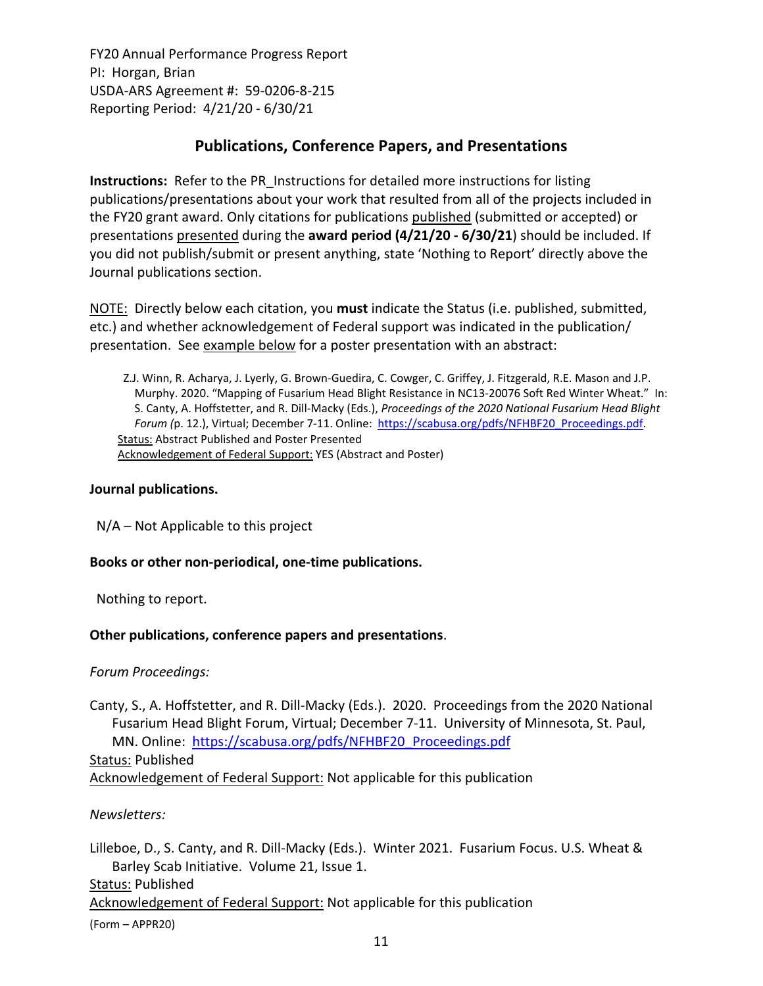# **Publications, Conference Papers, and Presentations**

**Instructions:** Refer to the PR\_Instructions for detailed more instructions for listing publications/presentations about your work that resulted from all of the projects included in the FY20 grant award. Only citations for publications published (submitted or accepted) or presentations presented during the **award period (4/21/20 ‐ 6/30/21**) should be included. If you did not publish/submit or present anything, state 'Nothing to Report' directly above the Journal publications section.

NOTE: Directly below each citation, you **must** indicate the Status (i.e. published, submitted, etc.) and whether acknowledgement of Federal support was indicated in the publication/ presentation. See example below for a poster presentation with an abstract:

Z.J. Winn, R. Acharya, J. Lyerly, G. Brown‐Guedira, C. Cowger, C. Griffey, J. Fitzgerald, R.E. Mason and J.P. Murphy. 2020. "Mapping of Fusarium Head Blight Resistance in NC13‐20076 Soft Red Winter Wheat." In: S. Canty, A. Hoffstetter, and R. Dill‐Macky (Eds.), *Proceedings of the 2020 National Fusarium Head Blight Forum (*p. 12.), Virtual; December 7‐11. Online: https://scabusa.org/pdfs/NFHBF20\_Proceedings.pdf. Status: Abstract Published and Poster Presented Acknowledgement of Federal Support: YES (Abstract and Poster)

## **Journal publications.**

N/A – Not Applicable to this project

# **Books or other non‐periodical, one‐time publications.**

Nothing to report.

#### **Other publications, conference papers and presentations**.

*Forum Proceedings:*

Canty, S., A. Hoffstetter, and R. Dill‐Macky (Eds.). 2020. Proceedings from the 2020 National Fusarium Head Blight Forum, Virtual; December 7‐11. University of Minnesota, St. Paul, MN. Online: https://scabusa.org/pdfs/NFHBF20\_Proceedings.pdf Status: Published

Acknowledgement of Federal Support: Not applicable for this publication

*Newsletters:*

(Form – APPR20) Lilleboe, D., S. Canty, and R. Dill-Macky (Eds.). Winter 2021. Fusarium Focus. U.S. Wheat & Barley Scab Initiative. Volume 21, Issue 1. Status: Published Acknowledgement of Federal Support: Not applicable for this publication